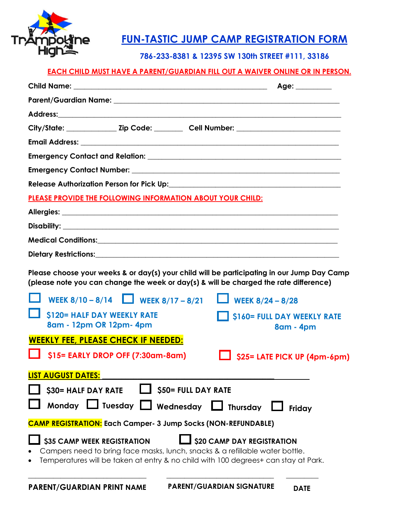

# **FUN-TASTIC JUMP CAMP REGISTRATION FORM**

### **786-233-8381 & 12395 SW 130th STREET #111, 33186**

#### **EACH CHILD MUST HAVE A PARENT/GUARDIAN FILL OUT A WAIVER ONLINE OR IN PERSON.**

|                                                                                                                                                                                                                                        | Age: _________                          |
|----------------------------------------------------------------------------------------------------------------------------------------------------------------------------------------------------------------------------------------|-----------------------------------------|
|                                                                                                                                                                                                                                        |                                         |
|                                                                                                                                                                                                                                        |                                         |
|                                                                                                                                                                                                                                        |                                         |
|                                                                                                                                                                                                                                        |                                         |
|                                                                                                                                                                                                                                        |                                         |
|                                                                                                                                                                                                                                        |                                         |
|                                                                                                                                                                                                                                        |                                         |
| PLEASE PROVIDE THE FOLLOWING INFORMATION ABOUT YOUR CHILD:                                                                                                                                                                             |                                         |
|                                                                                                                                                                                                                                        |                                         |
|                                                                                                                                                                                                                                        |                                         |
|                                                                                                                                                                                                                                        |                                         |
|                                                                                                                                                                                                                                        |                                         |
| Please choose your weeks & or day(s) your child will be participating in our Jump Day Camp<br>(please note you can change the week or day(s) & will be charged the rate difference)                                                    |                                         |
| WEEK $8/10 - 8/14$ WEEK $8/17 - 8/21$<br><b>L</b> WEEK $8/24 - 8/28$                                                                                                                                                                   |                                         |
| <b>\$120= HALF DAY WEEKLY RATE</b><br>8am - 12pm OR 12pm- 4pm                                                                                                                                                                          | S160= FULL DAY WEEKLY RATE<br>8am - 4pm |
| <b>WEEKLY FEE, PLEASE CHECK IF NEEDED:</b>                                                                                                                                                                                             |                                         |
| \$15= EARLY DROP OFF (7:30am-8am)                                                                                                                                                                                                      | \$25= LATE PICK UP (4pm-6pm)            |
| <b>LIST AUGUST DATES:</b>                                                                                                                                                                                                              |                                         |
| <b>\$50= FULL DAY RATE</b><br>\$30= HALF DAY RATE                                                                                                                                                                                      |                                         |
| Monday Lo Tuesday Nednesday<br>$\Box$ Thursday                                                                                                                                                                                         | Friday                                  |
| <b>CAMP REGISTRATION:</b> Each Camper- 3 Jump Socks (NON-REFUNDABLE)                                                                                                                                                                   |                                         |
| \$35 CAMP WEEK REGISTRATION<br><b>\$20 CAMP DAY REGISTRATION</b><br>Campers need to bring face masks, lunch, snacks & a refillable water bottle.<br>Temperatures will be taken at entry & no child with 100 degrees+ can stay at Park. |                                         |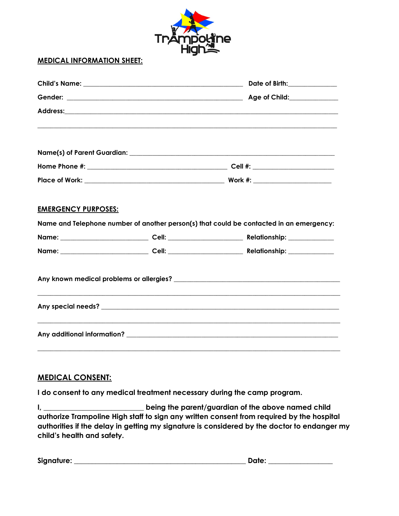| Trámpoume |  |
|-----------|--|
|           |  |

#### MEDICAL INFORMATION SHEET:

|                            |  | Address: Andress: Address: Address: Address: Address: Address: Address: Address: Address: Address: Address: Address: Address: Address: Address: Address: Address: Address: Address: Address: Address: Address: Address: Addres |  |
|----------------------------|--|--------------------------------------------------------------------------------------------------------------------------------------------------------------------------------------------------------------------------------|--|
|                            |  |                                                                                                                                                                                                                                |  |
|                            |  |                                                                                                                                                                                                                                |  |
|                            |  |                                                                                                                                                                                                                                |  |
| <b>EMERGENCY PURPOSES:</b> |  | Name and Telephone number of another person(s) that could be contacted in an emergency:                                                                                                                                        |  |
|                            |  |                                                                                                                                                                                                                                |  |
|                            |  |                                                                                                                                                                                                                                |  |
|                            |  |                                                                                                                                                                                                                                |  |
|                            |  |                                                                                                                                                                                                                                |  |
|                            |  |                                                                                                                                                                                                                                |  |

#### MEDICAL CONSENT:

I do consent to any medical treatment necessary during the camp program.

I, \_\_\_\_\_\_\_\_\_\_\_\_\_\_\_\_\_\_\_\_\_\_\_\_\_\_\_\_\_\_\_\_being the parent/guardian of the above named child authorize Trampoline High staff to sign any written consent from required by the hospital authorities if the delay in getting my signature is considered by the doctor to endanger my child's health and safety.

| Signature: |  |
|------------|--|
|            |  |